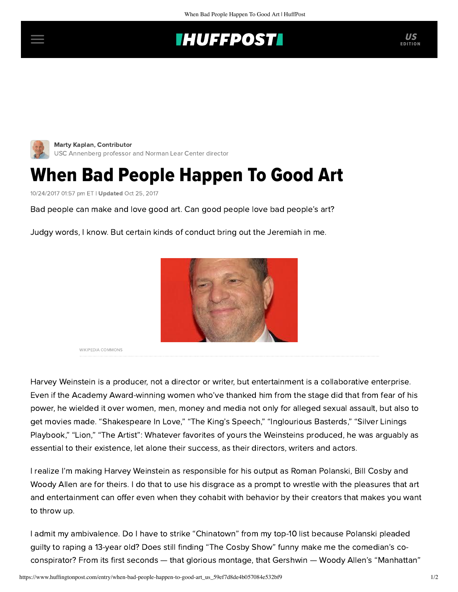## **THUFFPOSTI** US



[Marty Kaplan,](https://www.huffingtonpost.com/author/marty-kaplan) Contributor USC Annenberg professor and Norman Lear Center director

## When Bad People Happen To Good Art

10/24/2017 01:57 pm ET | Updated Oct 25, 2017

Bad people can make and love good art. Can good people love bad people's art?

Judgy words, I know. But certain kinds of conduct bring out the Jeremiah in me.



WIKIPEDIA COMMONS

Harvey Weinstein is a producer, not a director or writer, but entertainment is a collaborative enterprise. Even if the Academy Award-winning women who've thanked him from the stage did that from fear of his power, he wielded it over women, men, money and media not only for alleged sexual assault, but also to get movies made. "Shakespeare In Love," "The King's Speech," "Inglourious Basterds," "Silver Linings Playbook," "Lion," "The Artist": Whatever favorites of yours the Weinsteins produced, he was arguably as essential to their existence, let alone their success, as their directors, writers and actors.

I realize I'm making Harvey Weinstein as responsible for his output as Roman Polanski, Bill Cosby and Woody Allen are for theirs. I do that to use his disgrace as a prompt to wrestle with the pleasures that art and entertainment can offer even when they cohabit with behavior by their creators that makes you want to throw up.

I admit my ambivalence. Do I have to strike "Chinatown" from my top-10 list because Polanski pleaded guilty to raping a 13-year old? Does still finding "The Cosby Show" funny make me the comedian's coconspirator? From its first seconds — that glorious montage, that Gershwin — Woody Allen's "Manhattan"